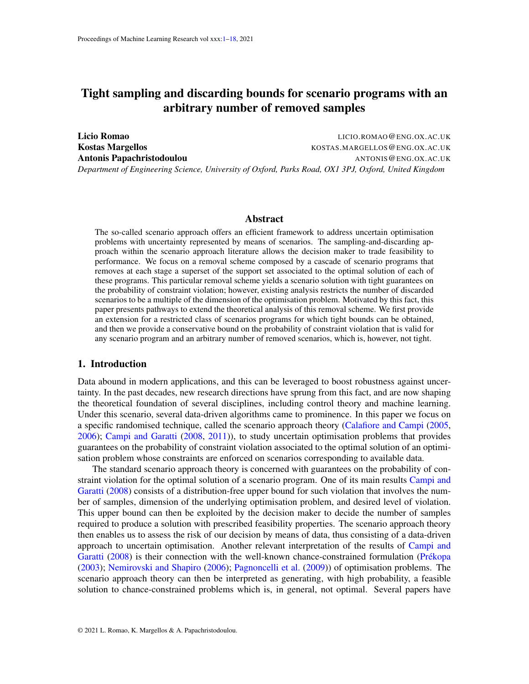# <span id="page-0-0"></span>Tight sampling and discarding bounds for scenario programs with an arbitrary number of removed samples

Licio Romao LICIO.ROMAO@ENG.OX.AC.UK Kostas Margellos **KOSTAS.MARGELLOS@ENG.OX.AC.UK** Antonis Papachristodoulou and the contract of the anti-*Department of Engineering Science, University of Oxford, Parks Road, OX1 3PJ, Oxford, United Kingdom*

### Abstract

The so-called scenario approach offers an efficient framework to address uncertain optimisation problems with uncertainty represented by means of scenarios. The sampling-and-discarding approach within the scenario approach literature allows the decision maker to trade feasibility to performance. We focus on a removal scheme composed by a cascade of scenario programs that removes at each stage a superset of the support set associated to the optimal solution of each of these programs. This particular removal scheme yields a scenario solution with tight guarantees on the probability of constraint violation; however, existing analysis restricts the number of discarded scenarios to be a multiple of the dimension of the optimisation problem. Motivated by this fact, this paper presents pathways to extend the theoretical analysis of this removal scheme. We first provide an extension for a restricted class of scenarios programs for which tight bounds can be obtained, and then we provide a conservative bound on the probability of constraint violation that is valid for any scenario program and an arbitrary number of removed scenarios, which is, however, not tight.

## 1. Introduction

Data abound in modern applications, and this can be leveraged to boost robustness against uncertainty. In the past decades, new research directions have sprung from this fact, and are now shaping the theoretical foundation of several disciplines, including control theory and machine learning. Under this scenario, several data-driven algorithms came to prominence. In this paper we focus on a specific randomised technique, called the scenario approach theory [\(Calafiore and Campi](#page-17-1) [\(2005,](#page-17-1) [2006\)](#page-17-2); [Campi and Garatti](#page-17-3) [\(2008,](#page-17-3) [2011\)](#page-17-4)), to study uncertain optimisation problems that provides guarantees on the probability of constraint violation associated to the optimal solution of an optimisation problem whose constraints are enforced on scenarios corresponding to available data.

The standard scenario approach theory is concerned with guarantees on the probability of constraint violation for the optimal solution of a scenario program. One of its main results [Campi and](#page-17-3) [Garatti](#page-17-3) [\(2008\)](#page-17-3) consists of a distribution-free upper bound for such violation that involves the number of samples, dimension of the underlying optimisation problem, and desired level of violation. This upper bound can then be exploited by the decision maker to decide the number of samples required to produce a solution with prescribed feasibility properties. The scenario approach theory then enables us to assess the risk of our decision by means of data, thus consisting of a data-driven approach to uncertain optimisation. Another relevant interpretation of the results of [Campi and](#page-17-3) [Garatti](#page-17-3)  $(2008)$  is their connection with the well-known chance-constrained formulation (Prékopa [\(2003\)](#page-17-5); [Nemirovski and Shapiro](#page-17-6) [\(2006\)](#page-17-6); [Pagnoncelli et al.](#page-17-7) [\(2009\)](#page-17-7)) of optimisation problems. The scenario approach theory can then be interpreted as generating, with high probability, a feasible solution to chance-constrained problems which is, in general, not optimal. Several papers have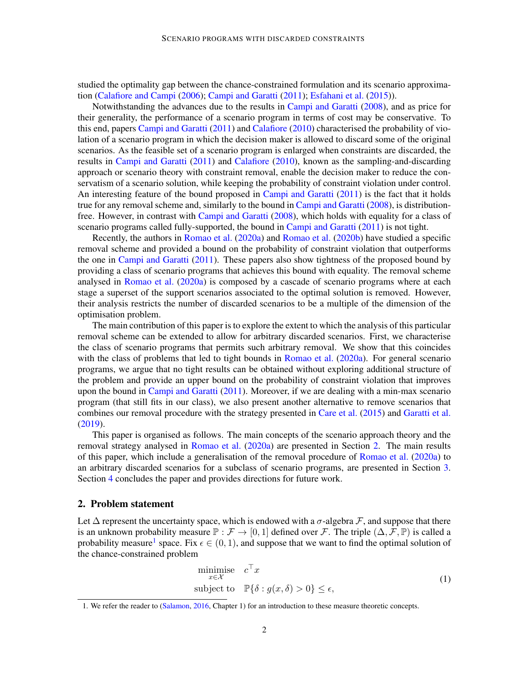studied the optimality gap between the chance-constrained formulation and its scenario approximation [\(Calafiore and Campi](#page-17-2) [\(2006\)](#page-17-2); [Campi and Garatti](#page-17-4) [\(2011\)](#page-17-4); [Esfahani et al.](#page-17-8) [\(2015\)](#page-17-8)).

Notwithstanding the advances due to the results in [Campi and Garatti](#page-17-3) [\(2008\)](#page-17-3), and as price for their generality, the performance of a scenario program in terms of cost may be conservative. To this end, papers [Campi and Garatti](#page-17-4) [\(2011\)](#page-17-4) and [Calafiore](#page-17-9) [\(2010\)](#page-17-9) characterised the probability of violation of a scenario program in which the decision maker is allowed to discard some of the original scenarios. As the feasible set of a scenario program is enlarged when constraints are discarded, the results in [Campi and Garatti](#page-17-4) [\(2011\)](#page-17-4) and [Calafiore](#page-17-9) [\(2010\)](#page-17-9), known as the sampling-and-discarding approach or scenario theory with constraint removal, enable the decision maker to reduce the conservatism of a scenario solution, while keeping the probability of constraint violation under control. An interesting feature of the bound proposed in [Campi and Garatti](#page-17-4) [\(2011\)](#page-17-4) is the fact that it holds true for any removal scheme and, similarly to the bound in [Campi and Garatti](#page-17-3) [\(2008\)](#page-17-3), is distributionfree. However, in contrast with [Campi and Garatti](#page-17-3) [\(2008\)](#page-17-3), which holds with equality for a class of scenario programs called fully-supported, the bound in [Campi and Garatti](#page-17-4) [\(2011\)](#page-17-4) is not tight.

Recently, the authors in [Romao et al.](#page-17-10) [\(2020a\)](#page-17-10) and [Romao et al.](#page-17-11) [\(2020b\)](#page-17-11) have studied a specific removal scheme and provided a bound on the probability of constraint violation that outperforms the one in [Campi and Garatti](#page-17-4) [\(2011\)](#page-17-4). These papers also show tightness of the proposed bound by providing a class of scenario programs that achieves this bound with equality. The removal scheme analysed in [Romao et al.](#page-17-10) [\(2020a\)](#page-17-10) is composed by a cascade of scenario programs where at each stage a superset of the support scenarios associated to the optimal solution is removed. However, their analysis restricts the number of discarded scenarios to be a multiple of the dimension of the optimisation problem.

The main contribution of this paper is to explore the extent to which the analysis of this particular removal scheme can be extended to allow for arbitrary discarded scenarios. First, we characterise the class of scenario programs that permits such arbitrary removal. We show that this coincides with the class of problems that led to tight bounds in [Romao et al.](#page-17-10) [\(2020a\)](#page-17-10). For general scenario programs, we argue that no tight results can be obtained without exploring additional structure of the problem and provide an upper bound on the probability of constraint violation that improves upon the bound in [Campi and Garatti](#page-17-4) [\(2011\)](#page-17-4). Moreover, if we are dealing with a min-max scenario program (that still fits in our class), we also present another alternative to remove scenarios that combines our removal procedure with the strategy presented in [Care et al.](#page-17-12) [\(2015\)](#page-17-12) and [Garatti et al.](#page-17-13) [\(2019\)](#page-17-13).

This paper is organised as follows. The main concepts of the scenario approach theory and the removal strategy analysed in [Romao et al.](#page-17-10) [\(2020a\)](#page-17-10) are presented in Section [2.](#page-1-0) The main results of this paper, which include a generalisation of the removal procedure of [Romao et al.](#page-17-10) [\(2020a\)](#page-17-10) to an arbitrary discarded scenarios for a subclass of scenario programs, are presented in Section [3.](#page-4-0) Section [4](#page-9-0) concludes the paper and provides directions for future work.

## <span id="page-1-0"></span>2. Problem statement

Let  $\Delta$  represent the uncertainty space, which is endowed with a  $\sigma$ -algebra  $\mathcal F$ , and suppose that there is an unknown probability measure  $\mathbb{P}: \mathcal{F} \to [0, 1]$  defined over F. The triple  $(\Delta, \mathcal{F}, \mathbb{P})$  is called a probability measure<sup>[1](#page-1-1)</sup> space. Fix  $\epsilon \in (0,1)$ , and suppose that we want to find the optimal solution of the chance-constrained problem

<span id="page-1-2"></span>
$$
\begin{array}{ll}\text{minimize} & c^\top x\\ \text{subject to} & \mathbb{P}\{\delta : g(x,\delta) > 0\} \le \epsilon,\end{array} \tag{1}
$$

<span id="page-1-1"></span><sup>1.</sup> We refer the reader to [\(Salamon,](#page-17-14) [2016,](#page-17-14) Chapter 1) for an introduction to these measure theoretic concepts.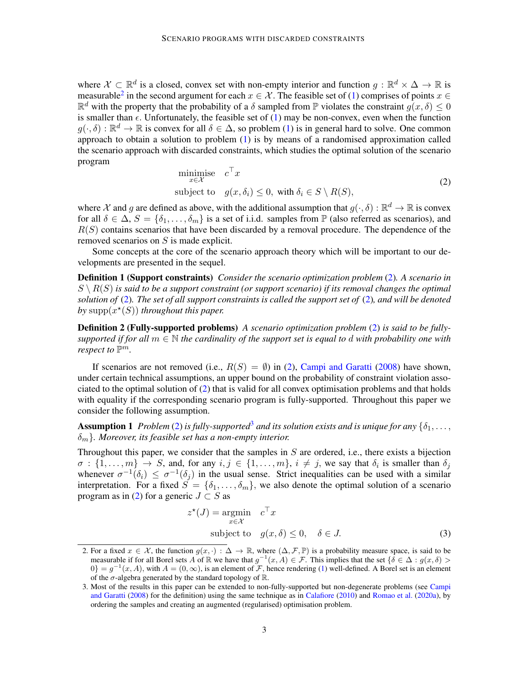where  $\mathcal{X} \subset \mathbb{R}^d$  is a closed, convex set with non-empty interior and function  $g : \mathbb{R}^d \times \Delta \to \mathbb{R}$  is measurable<sup>[2](#page-2-0)</sup> in the second argument for each  $x \in \mathcal{X}$ . The feasible set of [\(1\)](#page-1-2) comprises of points  $x \in$  $\mathbb{R}^d$  with the property that the probability of a  $\delta$  sampled from  $\mathbb P$  violates the constraint  $g(x, \delta) \leq 0$ is smaller than  $\epsilon$ . Unfortunately, the feasible set of [\(1\)](#page-1-2) may be non-convex, even when the function  $g(\cdot,\delta): \mathbb{R}^d \to \mathbb{R}$  is convex for all  $\delta \in \Delta$ , so problem [\(1\)](#page-1-2) is in general hard to solve. One common approach to obtain a solution to problem  $(1)$  is by means of a randomised approximation called the scenario approach with discarded constraints, which studies the optimal solution of the scenario program

<span id="page-2-4"></span><span id="page-2-1"></span>minimize 
$$
c^{\top} x
$$
  
subject to  $g(x, \delta_i) \leq 0$ , with  $\delta_i \in S \setminus R(S)$ ,  $(2)$ 

where X and g are defined as above, with the additional assumption that  $g(\cdot,\delta): \mathbb{R}^d \to \mathbb{R}$  is convex for all  $\delta \in \Delta$ ,  $S = {\delta_1, \ldots, \delta_m}$  is a set of i.i.d. samples from  $\mathbb P$  (also referred as scenarios), and  $R(S)$  contains scenarios that have been discarded by a removal procedure. The dependence of the removed scenarios on S is made explicit.

Some concepts at the core of the scenario approach theory which will be important to our developments are presented in the sequel.

Definition 1 (Support constraints) *Consider the scenario optimization problem* [\(2\)](#page-2-1)*. A scenario in*  $S \setminus R(S)$  is said to be a support constraint (or support scenario) if its removal changes the optimal *solution of* [\(2\)](#page-2-1)*. The set of all support constraints is called the support set of* [\(2\)](#page-2-1)*, and will be denoted* by  $supp(x^*(S))$  *throughout this paper.* 

Definition 2 (Fully-supported problems) *A scenario optimization problem* [\(2\)](#page-2-1) *is said to be fullysupported if for all*  $m \in \mathbb{N}$  *the cardinality of the support set is equal to d with probability one with respect to*  $\mathbb{P}^m$ .

If scenarios are not removed (i.e.,  $R(S) = \emptyset$ ) in [\(2\)](#page-2-1), [Campi and Garatti](#page-17-3) [\(2008\)](#page-17-3) have shown, under certain technical assumptions, an upper bound on the probability of constraint violation associated to the optimal solution of [\(2\)](#page-2-1) that is valid for all convex optimisation problems and that holds with equality if the corresponding scenario program is fully-supported. Throughout this paper we consider the following assumption.

**Assumption 1** *Problem* [\(2\)](#page-2-1) *is fully-supported*<sup>[3](#page-2-2)</sup> *and its solution exists and is unique for any*  $\{\delta_1, \ldots, \delta_n\}$ δm}*. Moreover, its feasible set has a non-empty interior.*

Throughout this paper, we consider that the samples in  $S$  are ordered, i.e., there exists a bijection  $\sigma:\{1,\ldots,m\}\to S$ , and, for any  $i,j\in\{1,\ldots,m\}$ ,  $i\neq j$ , we say that  $\delta_i$  is smaller than  $\delta_j$ whenever  $\sigma^{-1}(\delta_i) \leq \sigma^{-1}(\delta_j)$  in the usual sense. Strict inequalities can be used with a similar interpretation. For a fixed  $S = \{\delta_1, \ldots, \delta_m\}$ , we also denote the optimal solution of a scenario program as in [\(2\)](#page-2-1) for a generic  $J \subset S$  as

<span id="page-2-3"></span>
$$
z^*(J) = \underset{x \in \mathcal{X}}{\operatorname{argmin}} \quad c^\top x
$$
  
subject to  $g(x, \delta) \le 0, \quad \delta \in J.$  (3)

<span id="page-2-0"></span><sup>2.</sup> For a fixed  $x \in \mathcal{X}$ , the function  $g(x, \cdot) : \Delta \to \mathbb{R}$ , where  $(\Delta, \mathcal{F}, \mathbb{P})$  is a probability measure space, is said to be measurable if for all Borel sets A of  $\mathbb R$  we have that  $g^{-1}(x, A) \in \mathcal F$ . This implies that the set  $\{\delta \in \Delta : g(x, \delta) >$  $0$ } =  $g^{-1}(x, A)$ , with  $A = (0, \infty)$ , is an element of  $\mathcal{F}$ , hence rendering [\(1\)](#page-1-2) well-defined. A Borel set is an element of the  $\sigma$ -algebra generated by the standard topology of  $\mathbb{R}$ .

<span id="page-2-2"></span><sup>3.</sup> Most of the results in this paper can be extended to non-fully-supported but non-degenerate problems (see [Campi](#page-17-3) [and Garatti](#page-17-3) [\(2008\)](#page-17-3) for the definition) using the same technique as in [Calafiore](#page-17-9) [\(2010\)](#page-17-9) and [Romao et al.](#page-17-10) [\(2020a\)](#page-17-10), by ordering the samples and creating an augmented (regularised) optimisation problem.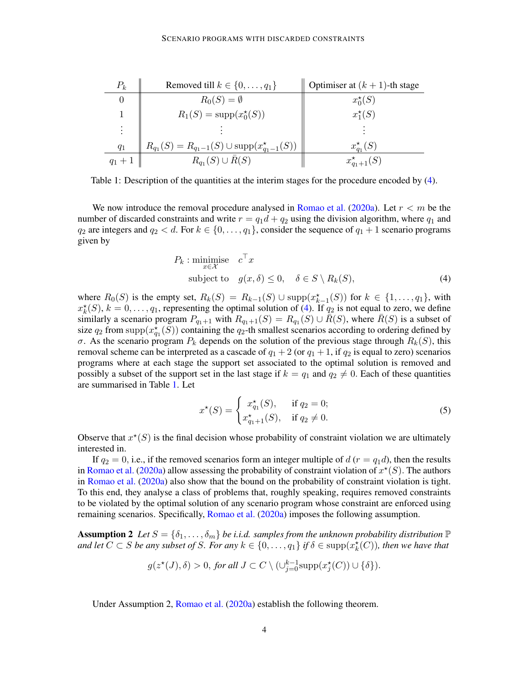| $P_k$     | Removed till $k \in \{0, \ldots, q_1\}$                      | Optimiser at $(k + 1)$ -th stage |
|-----------|--------------------------------------------------------------|----------------------------------|
| $\theta$  | $R_0(S) = \emptyset$                                         | $x_0^*(S)$                       |
|           | $R_1(S) = \text{supp}(x_0^{\star}(S))$                       | $x_1^*(S)$                       |
| ÷         |                                                              |                                  |
| $q_1$     | $R_{q_1}(S) = R_{q_1-1}(S) \cup \text{supp}(x_{q_1-1}^*(S))$ | $x_{q_1}^{\star}(S)$             |
| $a_1 + 1$ | $R_{q_1}(S) \cup R(S)$                                       | $x_{q_1+1}^*(S)$                 |

<span id="page-3-1"></span>Table 1: Description of the quantities at the interim stages for the procedure encoded by [\(4\)](#page-3-0).

We now introduce the removal procedure analysed in [Romao et al.](#page-17-10) [\(2020a\)](#page-17-10). Let  $r < m$  be the number of discarded constraints and write  $r = q_1d + q_2$  using the division algorithm, where  $q_1$  and  $q_2$  are integers and  $q_2 < d$ . For  $k \in \{0, \ldots, q_1\}$ , consider the sequence of  $q_1 + 1$  scenario programs given by

<span id="page-3-0"></span>
$$
P_k: \underset{x \in \mathcal{X}}{\text{minimise}} \quad c^\top x
$$
  
subject to  $g(x, \delta) \le 0, \quad \delta \in S \setminus R_k(S),$  (4)

where  $R_0(S)$  is the empty set,  $R_k(S) = R_{k-1}(S) \cup \text{supp}(x_{k-1}^*(S))$  for  $k \in \{1, ..., q_1\}$ , with  $x_k^*(S)$ ,  $k = 0, \ldots, q_1$ , representing the optimal solution of [\(4\)](#page-3-0). If  $q_2$  is not equal to zero, we define similarly a scenario program  $P_{q_1+1}$  with  $R_{q_1+1}(S) = R_{q_1}(S) \cup \overline{R}(S)$ , where  $\overline{R}(S)$  is a subset of size  $q_2$  from supp $(x_{q_1}^{\star}(S))$  containing the  $q_2$ -th smallest scenarios according to ordering defined by σ. As the scenario program  $P_k$  depends on the solution of the previous stage through  $R_k(S)$ , this removal scheme can be interpreted as a cascade of  $q_1 + 2$  (or  $q_1 + 1$ , if  $q_2$  is equal to zero) scenarios programs where at each stage the support set associated to the optimal solution is removed and possibly a subset of the support set in the last stage if  $k = q_1$  and  $q_2 \neq 0$ . Each of these quantities are summarised in Table [1.](#page-3-1) Let

<span id="page-3-3"></span>
$$
x^*(S) = \begin{cases} x_{q_1}^*(S), & \text{if } q_2 = 0; \\ x_{q_1+1}^*(S), & \text{if } q_2 \neq 0. \end{cases}
$$
 (5)

Observe that  $x^*(S)$  is the final decision whose probability of constraint violation we are ultimately interested in.

If  $q_2 = 0$ , i.e., if the removed scenarios form an integer multiple of  $d(r = q_1 d)$ , then the results in [Romao et al.](#page-17-10) [\(2020a\)](#page-17-10) allow assessing the probability of constraint violation of  $x^*(S)$ . The authors in [Romao et al.](#page-17-10) [\(2020a\)](#page-17-10) also show that the bound on the probability of constraint violation is tight. To this end, they analyse a class of problems that, roughly speaking, requires removed constraints to be violated by the optimal solution of any scenario program whose constraint are enforced using remaining scenarios. Specifically, [Romao et al.](#page-17-10) [\(2020a\)](#page-17-10) imposes the following assumption.

<span id="page-3-2"></span>**Assumption 2** Let  $S = \{\delta_1, \ldots, \delta_m\}$  be i.i.d. samples from the unknown probability distribution  $\mathbb P$ *and let*  $C \subset S$  *be any subset of* S. For any  $k \in \{0, \ldots, q_1\}$  if  $\delta \in \text{supp}(x_k^{\star}(C))$ , then we have that

$$
g(z^*(J), \delta) > 0, \text{ for all } J \subset C \setminus (\cup_{j=0}^{k-1} \text{supp}(x_j^*(C)) \cup \{\delta\}).
$$

Under Assumption 2, [Romao et al.](#page-17-10) [\(2020a\)](#page-17-10) establish the following theorem.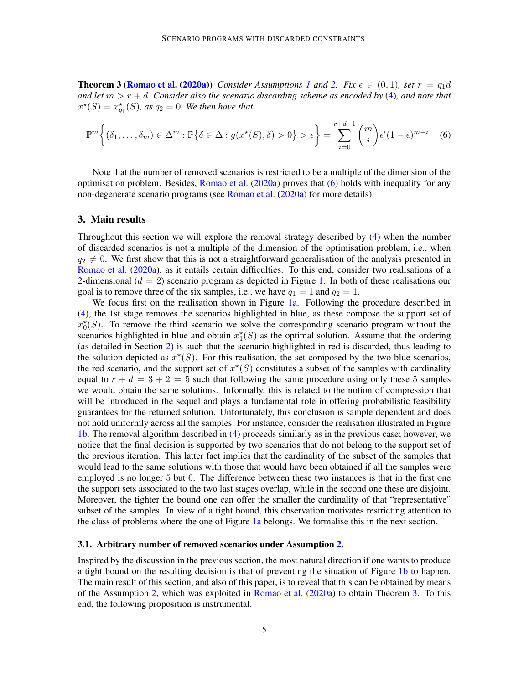**Theorem 3 [\(Romao et al.](#page-17-10) [\(2020a\)](#page-17-10))** *Consider Assumptions* [1](#page-2-3) and [2.](#page-3-2) Fix  $\epsilon \in (0,1)$ *, set*  $r = q_1 d$ *and let* m > r + d*. Consider also the scenario discarding scheme as encoded by* [\(4\)](#page-3-0)*, and note that*  $x^*(S) = x_{q_1}^*(S)$ , as  $q_2 = 0$ . We then have that

<span id="page-4-1"></span>
$$
\mathbb{P}^m\bigg\{(\delta_1,\ldots,\delta_m)\in\Delta^m:\mathbb{P}\big\{\delta\in\Delta:g(x^\star(S),\delta)>0\big\}>\epsilon\bigg\}=\sum_{i=0}^{r+d-1}\binom{m}{i}\epsilon^i(1-\epsilon)^{m-i}.\tag{6}
$$

Note that the number of removed scenarios is restricted to be a multiple of the dimension of the optimisation problem. Besides, [Romao et al.](#page-17-10) [\(2020a\)](#page-17-10) proves that [\(6\)](#page-4-1) holds with inequality for any non-degenerate scenario programs (see [Romao et al.](#page-17-10) [\(2020a\)](#page-17-10) for more details).

### <span id="page-4-0"></span>3. Main results

Throughout this section we will explore the removal strategy described by [\(4\)](#page-3-0) when the number of discarded scenarios is not a multiple of the dimension of the optimisation problem, i.e., when  $q_2 \neq 0$ . We first show that this is not a straightforward generalisation of the analysis presented in [Romao et al.](#page-17-10) [\(2020a\)](#page-17-10), as it entails certain difficulties. To this end, consider two realisations of a 2-dimensional  $(d = 2)$  scenario program as depicted in Figure [1.](#page-5-0) In both of these realisations our goal is to remove three of the six samples, i.e., we have  $q_1 = 1$  and  $q_2 = 1$ .

We focus first on the realisation shown in Figure [1a.](#page-5-1) Following the procedure described in [\(4\)](#page-3-0), the 1st stage removes the scenarios highlighted in blue, as these compose the support set of  $x_0^*(S)$ . To remove the third scenario we solve the corresponding scenario program without the scenarios highlighted in blue and obtain  $x_1^*(S)$  as the optimal solution. Assume that the ordering (as detailed in Section [2\)](#page-1-0) is such that the scenario highlighted in red is discarded, thus leading to the solution depicted as  $x^*(S)$ . For this realisation, the set composed by the two blue scenarios, the red scenario, and the support set of  $x^*(S)$  constitutes a subset of the samples with cardinality equal to  $r + d = 3 + 2 = 5$  such that following the same procedure using only these 5 samples we would obtain the same solutions. Informally, this is related to the notion of compression that will be introduced in the sequel and plays a fundamental role in offering probabilistic feasibility guarantees for the returned solution. Unfortunately, this conclusion is sample dependent and does not hold uniformly across all the samples. For instance, consider the realisation illustrated in Figure [1b.](#page-5-2) The removal algorithm described in [\(4\)](#page-3-0) proceeds similarly as in the previous case; however, we notice that the final decision is supported by two scenarios that do not belong to the support set of the previous iteration. This latter fact implies that the cardinality of the subset of the samples that would lead to the same solutions with those that would have been obtained if all the samples were employed is no longer 5 but 6. The difference between these two instances is that in the first one the support sets associated to the two last stages overlap, while in the second one these are disjoint. Moreover, the tighter the bound one can offer the smaller the cardinality of that "representative" subset of the samples. In view of a tight bound, this observation motivates restricting attention to the class of problems where the one of Figure [1a](#page-5-1) belongs. We formalise this in the next section.

#### <span id="page-4-3"></span>3.1. Arbitrary number of removed scenarios under Assumption [2.](#page-3-2)

<span id="page-4-2"></span>Inspired by the discussion in the previous section, the most natural direction if one wants to produce a tight bound on the resulting decision is that of preventing the situation of Figure [1b](#page-5-2) to happen. The main result of this section, and also of this paper, is to reveal that this can be obtained by means of the Assumption [2,](#page-3-2) which was exploited in [Romao et al.](#page-17-10) [\(2020a\)](#page-17-10) to obtain Theorem [3.](#page-4-1) To this end, the following proposition is instrumental.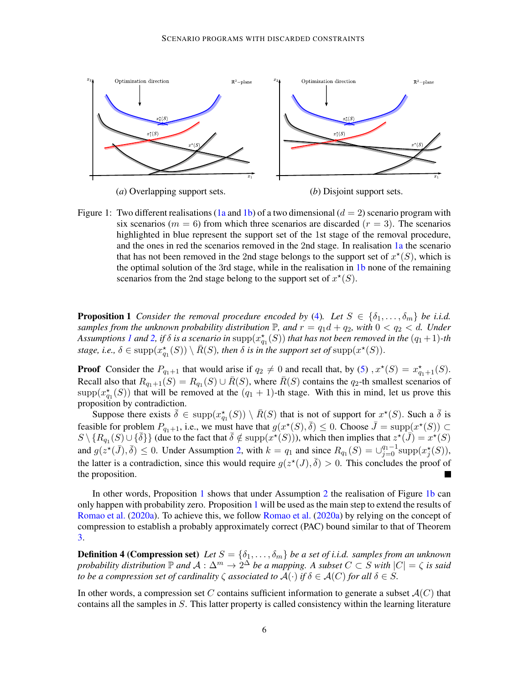<span id="page-5-1"></span>

(*a*) Overlapping support sets. (*b*) Disjoint support sets.

<span id="page-5-2"></span>

<span id="page-5-0"></span>Figure 1: Two different realisations [\(1a](#page-5-1) and [1b\)](#page-5-2) of a two dimensional  $(d = 2)$  scenario program with six scenarios ( $m = 6$ ) from which three scenarios are discarded ( $r = 3$ ). The scenarios highlighted in blue represent the support set of the 1st stage of the removal procedure, and the ones in red the scenarios removed in the 2nd stage. In realisation [1a](#page-5-1) the scenario that has not been removed in the 2nd stage belongs to the support set of  $x^*(S)$ , which is the optimal solution of the 3rd stage, while in the realisation in [1b](#page-5-2) none of the remaining scenarios from the 2nd stage belong to the support set of  $x^*(S)$ .

**Proposition 1** *Consider the removal procedure encoded by* [\(4\)](#page-3-0). Let  $S \in \{\delta_1, \ldots, \delta_m\}$  be i.i.d. *samples from the unknown probability distribution*  $\mathbb{P}$ *, and*  $r = q_1d + q_2$ *, with*  $0 < q_2 < d$ *. Under* Assumptions [1](#page-2-3) and [2,](#page-3-2) if  $\delta$  is a scenario in  $\mathrm{supp}(x^\star_{q_1}(S))$  that has not been removed in the  $(q_1\!+\!1)$ -th *stage, i.e.,*  $\delta \in \text{supp}(x_{q_1}^{\star}(S)) \setminus \overline{R}(S)$ *, then*  $\delta$  *is in the support set of*  $\text{supp}(x^{\star}(S))$ *.* 

**Proof** Consider the  $P_{q_1+1}$  that would arise if  $q_2 \neq 0$  and recall that, by [\(5\)](#page-3-3),  $x^*(S) = x^*_{q_1+1}(S)$ . Recall also that  $R_{q_1+1}(S) = R_{q_1}(S) \cup \overline{R}(S)$ , where  $\overline{R}(S)$  contains the  $q_2$ -th smallest scenarios of  $\text{supp}(x_{q_1}^*(S))$  that will be removed at the  $(q_1 + 1)$ -th stage. With this in mind, let us prove this proposition by contradiction.

Suppose there exists  $\bar{\delta} \in \text{supp}(x_{q_1}^*(S)) \setminus \bar{R}(S)$  that is not of support for  $x^*(S)$ . Such a  $\bar{\delta}$  is feasible for problem  $P_{q_1+1}$ , i.e., we must have that  $g(x^*(S), \overline{\delta}) \leq 0$ . Choose  $\overline{J} = \text{supp}(x^*(S)) \subset$  $S \setminus \{R_{q_1}(S) \cup \{\overline{\delta}\}\}\$  (due to the fact that  $\overline{\delta} \notin \text{supp}(x^{\star}(S))$ ), which then implies that  $z^{\star}(\overline{J}) = x^{\star}(S)$ and  $g(z^*(\bar{J}), \bar{\delta}) \leq 0$ . Under Assumption [2,](#page-3-2) with  $k = q_1$  and since  $R_{q_1}(S) = \bigcup_{j=0}^{q_1-1} \text{supp} (x_j^*(S)),$ the latter is a contradiction, since this would require  $g(z^*(J), \overline{\delta}) > 0$ . This concludes the proof of the proposition.

In other words, Proposition [1](#page-4-2) shows that under Assumption [2](#page-3-2) the realisation of Figure [1b](#page-5-2) can only happen with probability zero. Proposition [1](#page-4-2) will be used as the main step to extend the results of [Romao et al.](#page-17-10) [\(2020a\)](#page-17-10). To achieve this, we follow [Romao et al.](#page-17-10) [\(2020a\)](#page-17-10) by relying on the concept of compression to establish a probably approximately correct (PAC) bound similar to that of Theorem [3.](#page-4-1)

**Definition 4 (Compression set)** Let  $S = \{\delta_1, \ldots, \delta_m\}$  be a set of i.i.d. samples from an unknown *probability distribution*  $\mathbb P$  *and*  $\mathcal A : \Delta^m \to 2^\Delta$  *be a mapping.* A subset  $C \subset S$  with  $|C| = \zeta$  is said *to be a compression set of cardinality*  $\zeta$  *associated to*  $\mathcal{A}(\cdot)$  *if*  $\delta \in \mathcal{A}(C)$  *for all*  $\delta \in S$ *.* 

In other words, a compression set C contains sufficient information to generate a subset  $\mathcal{A}(C)$  that contains all the samples in  $S$ . This latter property is called consistency within the learning literature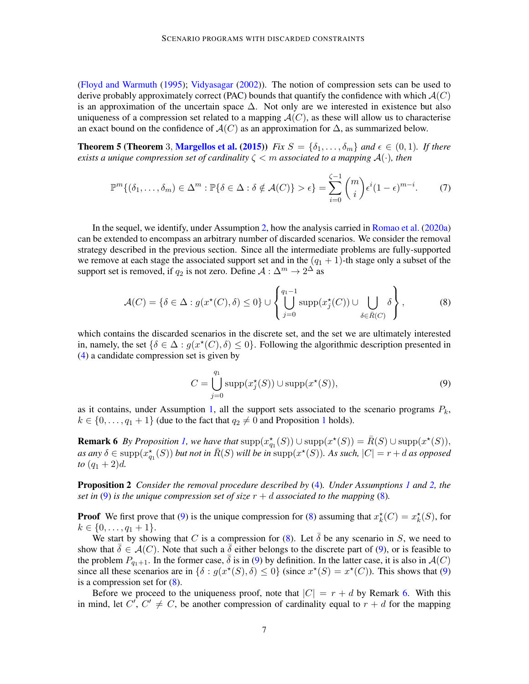[\(Floyd and Warmuth](#page-17-15) [\(1995\)](#page-17-15); [Vidyasagar](#page-17-16) [\(2002\)](#page-17-16)). The notion of compression sets can be used to derive probably approximately correct (PAC) bounds that quantify the confidence with which  $\mathcal{A}(C)$ is an approximation of the uncertain space  $\Delta$ . Not only are we interested in existence but also uniqueness of a compression set related to a mapping  $A(C)$ , as these will allow us to characterise an exact bound on the confidence of  $\mathcal{A}(C)$  as an approximation for  $\Delta$ , as summarized below.

**Theorem 5 (Theorem 3, [Margellos et al.](#page-17-17) [\(2015\)](#page-17-17))** *Fix*  $S = \{\delta_1, \ldots, \delta_m\}$  and  $\epsilon \in (0, 1)$ *. If there exists a unique compression set of cardinality*  $\zeta < m$  *associated to a mapping*  $\mathcal{A}(\cdot)$ *, then* 

<span id="page-6-4"></span>
$$
\mathbb{P}^m\{(\delta_1,\ldots,\delta_m)\in\Delta^m:\mathbb{P}\{\delta\in\Delta:\delta\notin\mathcal{A}(C)\}>\epsilon\}=\sum_{i=0}^{\zeta-1}\binom{m}{i}\epsilon^i(1-\epsilon)^{m-i}.\tag{7}
$$

In the sequel, we identify, under Assumption [2,](#page-3-2) how the analysis carried in [Romao et al.](#page-17-10) [\(2020a\)](#page-17-10) can be extended to encompass an arbitrary number of discarded scenarios. We consider the removal strategy described in the previous section. Since all the intermediate problems are fully-supported we remove at each stage the associated support set and in the  $(q_1 + 1)$ -th stage only a subset of the support set is removed, if  $q_2$  is not zero. Define  $A: \Delta^m \to 2^{\Delta}$  as

<span id="page-6-1"></span>
$$
\mathcal{A}(C) = \{ \delta \in \Delta : g(x^*(C), \delta) \le 0 \} \cup \left\{ \bigcup_{j=0}^{q_1 - 1} \text{supp}(x_j^*(C)) \cup \bigcup_{\delta \in \bar{R}(C)} \delta \right\},\tag{8}
$$

which contains the discarded scenarios in the discrete set, and the set we are ultimately interested in, namely, the set  $\{\delta \in \Delta : g(x^*(C), \delta) \leq 0\}$ . Following the algorithmic description presented in [\(4\)](#page-3-0) a candidate compression set is given by

<span id="page-6-0"></span>
$$
C = \bigcup_{j=0}^{q_1} \text{supp}(x_j^{\star}(S)) \cup \text{supp}(x^{\star}(S)),\tag{9}
$$

as it contains, under Assumption [1,](#page-2-3) all the support sets associated to the scenario programs  $P_k$ ,  $k \in \{0, \ldots, q_1 + 1\}$  $k \in \{0, \ldots, q_1 + 1\}$  $k \in \{0, \ldots, q_1 + 1\}$  (due to the fact that  $q_2 \neq 0$  and Proposition 1 holds).

<span id="page-6-2"></span>**Remark 6** *By Proposition [1,](#page-4-2) we have that*  $supp(x_{q_1}^{\star}(S)) \cup supp(x^{\star}(S)) = \overline{R}(S) \cup supp(x^{\star}(S)),$  $as$   $any \delta \in \text{supp}(x_{q_1}^*(S))$  *but not in*  $\bar{R}(S)$  *will be in*  $\text{supp}(x^*(S))$ *. As such,*  $|C| = r + d$  *as opposed to*  $(q_1 + 2)d$ .

<span id="page-6-3"></span>Proposition 2 *Consider the removal procedure described by* [\(4\)](#page-3-0)*. Under Assumptions [1](#page-2-3) and [2,](#page-3-2) the set in* [\(9\)](#page-6-0) *is the unique compression set of size*  $r + d$  *associated to the mapping* [\(8\)](#page-6-1).

**Proof** We first prove that [\(9\)](#page-6-0) is the unique compression for [\(8\)](#page-6-1) assuming that  $x_k^*(C) = x_k^*(S)$ , for  $k \in \{0, \ldots, q_1 + 1\}.$ 

We start by showing that C is a compression for [\(8\)](#page-6-1). Let  $\bar{\delta}$  be any scenario in S, we need to show that  $\delta \in \mathcal{A}(C)$ . Note that such a  $\delta$  either belongs to the discrete part of [\(9\)](#page-6-0), or is feasible to the problem  $P_{q_1+1}$ . In the former case,  $\overline{\delta}$  is in [\(9\)](#page-6-0) by definition. In the latter case, it is also in  $\mathcal{A}(C)$ since all these scenarios are in  $\{\delta : g(x^*(S), \delta) \leq 0\}$  (since  $x^*(S) = x^*(C)$ ). This shows that [\(9\)](#page-6-0) is a compression set for  $(8)$ .

Before we proceed to the uniqueness proof, note that  $|C| = r + d$  by Remark [6.](#page-6-2) With this in mind, let  $C^r$ ,  $C^r \neq C$ , be another compression of cardinality equal to  $r + d$  for the mapping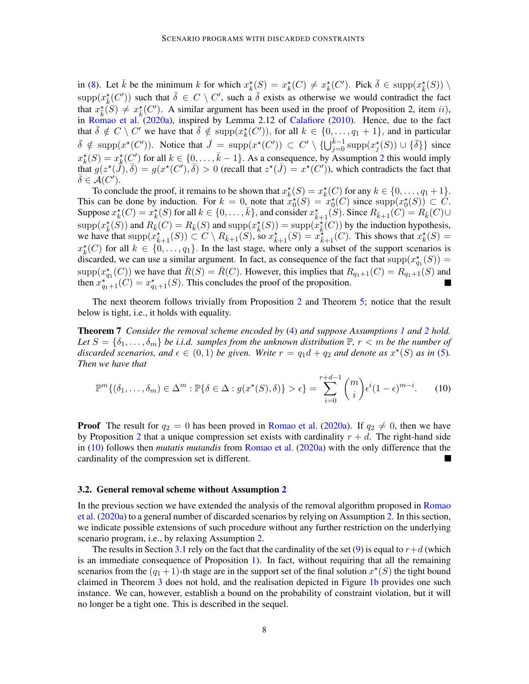in [\(8\)](#page-6-1). Let  $\bar{k}$  be the minimum k for which  $x_k^*(S) = x_k^*(C) \neq x_k^*(C')$ . Pick  $\bar{\delta} \in \text{supp}(x_k^*(S)) \setminus \{$  $\text{supp}(x_{\overline{k}}^{\star}(C'))$  such that  $\overline{\delta} \in C \setminus C'$ , such a  $\overline{\delta}$  exists as otherwise we would contradict the fact that  $x_{\overline{k}}(S) \neq x_{\overline{k}}(C')$ . A similar argument has been used in the proof of Proposition 2, item *ii*), in [Romao et al.](#page-17-10) [\(2020a\)](#page-17-10), inspired by Lemma 2.12 of [Calafiore](#page-17-9) [\(2010\)](#page-17-9). Hence, due to the fact that  $\overline{\delta} \notin C \setminus C'$  we have that  $\overline{\delta} \notin \text{supp}(x_k^{\star}(C'))$ , for all  $k \in \{0, ..., q_1 + 1\}$ , and in particular  $\overline{\delta} \notin \text{supp}(x^*(C'))$ . Notice that  $\overline{J} = \text{supp}(x^*(C')) \subset C' \setminus \{ \bigcup_{j=0}^{\overline{k}-1} \text{supp}(x^*_j(S)) \cup \{ \overline{\delta} \} \}$  since  $x_k^*(S) = x_k^*(C')$  for all  $k \in \{0, \ldots, \bar{k} - 1\}$ . As a consequence, by Assumption [2](#page-3-2) this would imply that  $g(z^*(\tilde{J}), \overline{\delta}) = g(x^*(C'), \overline{\delta}) > 0$  (recall that  $z^*(\overline{J}) = x^*(C')$ ), which contradicts the fact that  $\bar{\delta} \in \mathcal{A}(C^{\prime}).$ 

To conclude the proof, it remains to be shown that  $x_k^*(S) = x_k^*(C)$  for any  $k \in \{0, \ldots, q_1 + 1\}$ . This can be done by induction. For  $k = 0$ , note that  $x_0^*(S) = x_0^*(C)$  since  $supp(x_0^*(S)) \subset C$ . Suppose  $x_k^{\star}(C) = x_k^{\star}(S)$  for all  $k \in \{0, \ldots, \overline{k}\}$ , and consider  $x_{\overline{k}+1}^{\star}(S)$ . Since  $R_{\overline{k}+1}(C) = R_{\overline{k}}(C) \cup$  $\text{supp}(x_k^*(S))$  and  $R_{\bar{k}}(C) = R_{\bar{k}}(S)$  and  $\text{supp}(x_{\bar{k}}^*(S)) = \text{supp}(x_{\bar{k}}^*(C))$  by the induction hypothesis, we have that  $\mathrm{supp}(\tilde{x}_{\bar{k}+1}^{\star}(S)) \subset C \setminus R_{\bar{k}+1}(S)$ , so  $x_{\bar{k}+1}^{\star}(S) = x_{\bar{k}+1}^{\star}(C)$ . This shows that  $x_{k}^{\star}(S) =$  $x_k^{\star}(C)$  for all  $k \in \{0, \ldots, q_1\}$ . In the last stage, where only a subset of the support scenarios is discarded, we can use a similar argument. In fact, as consequence of the fact that  $\text{supp}(x_{q_1}^{\star}(S))$  =  $\text{supp}(x_{q_1}^*(C))$  we have that  $\bar{R}(S) = \bar{R}(C)$ . However, this implies that  $R_{q_1+1}(C) = R_{q_1+1}(S)$  and then  $x_{q_1+1}^{*^{11}}(C) = x_{q_1+1}^{*}(S)$ . This concludes the proof of the proposition.

The next theorem follows trivially from Proposition [2](#page-6-3) and Theorem [5;](#page-6-4) notice that the result below is tight, i.e., it holds with equality.

Theorem 7 *Consider the removal scheme encoded by* [\(4\)](#page-3-0) *and suppose Assumptions [1](#page-2-3) and [2](#page-3-2) hold.* Let  $S = \{\delta_1, \ldots, \delta_m\}$  be *i.i.d.* samples from the unknown distribution  $\mathbb{P}, r < m$  be the number of discarded scenarios, and  $\epsilon \in (0,1)$  be given. Write  $r = q_1 d + q_2$  and denote as  $x^{\star}(S)$  as in [\(5\)](#page-3-3). *Then we have that*

<span id="page-7-0"></span>
$$
\mathbb{P}^m\{(\delta_1,\ldots,\delta_m)\in\Delta^m:\mathbb{P}\{\delta\in\Delta:g(x^\star(S),\delta)\}>\epsilon\}=\sum_{i=0}^{r+d-1}\binom{m}{i}\epsilon^i(1-\epsilon)^{m-i}.\tag{10}
$$

**Proof** The result for  $q_2 = 0$  has been proved in [Romao et al.](#page-17-10) [\(2020a\)](#page-17-10). If  $q_2 \neq 0$ , then we have by Proposition [2](#page-6-3) that a unique compression set exists with cardinality  $r + d$ . The right-hand side in [\(10\)](#page-7-0) follows then *mutatis mutandis* from [Romao et al.](#page-17-10) [\(2020a\)](#page-17-10) with the only difference that the cardinality of the compression set is different.

#### 3.2. General removal scheme without Assumption [2](#page-3-2)

In the previous section we have extended the analysis of the removal algorithm proposed in [Romao](#page-17-10) [et al.](#page-17-10) [\(2020a\)](#page-17-10) to a general number of discarded scenarios by relying on Assumption [2.](#page-3-2) In this section, we indicate possible extensions of such procedure without any further restriction on the underlying scenario program, i.e., by relaxing Assumption [2.](#page-3-2)

<span id="page-7-1"></span>The results in Section [3.1](#page-4-3) rely on the fact that the cardinality of the set [\(9\)](#page-6-0) is equal to  $r+d$  (which is an immediate consequence of Proposition [1\)](#page-4-2). In fact, without requiring that all the remaining scenarios from the  $(q_1 + 1)$ -th stage are in the support set of the final solution  $x^*(S)$  the tight bound claimed in Theorem [3](#page-4-1) does not hold, and the realisation depicted in Figure [1b](#page-5-2) provides one such instance. We can, however, establish a bound on the probability of constraint violation, but it will no longer be a tight one. This is described in the sequel.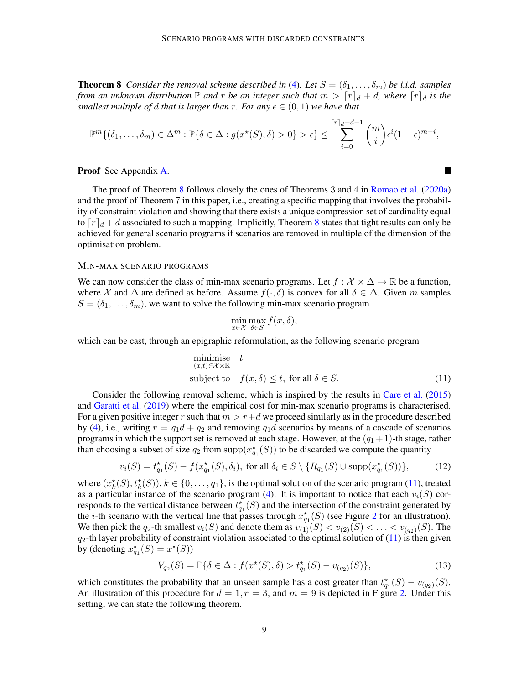**Theorem 8** *Consider the removal scheme described in* [\(4\)](#page-3-0)*. Let*  $S = (\delta_1, \ldots, \delta_m)$  *be i.i.d. samples from an unknown distribution*  $\mathbb P$  *and*  $r$  *be an integer such that*  $m > \lceil r \rceil_d + d$ *, where*  $\lceil r \rceil_d$  *is the smallest multiple of d that is larger than r. For any*  $\epsilon \in (0,1)$  *we have that* 

$$
\mathbb{P}^m\{(\delta_1,\ldots,\delta_m)\in\Delta^m:\mathbb{P}\{\delta\in\Delta:g(x^*(S),\delta)>0\}>\epsilon\}\leq\sum_{i=0}^{\lceil r\rceil_d+d-1}{\binom{m}{i}}\epsilon^i(1-\epsilon)^{m-i},
$$

Proof See Appendix [A.](#page-10-0)

The proof of Theorem [8](#page-7-1) follows closely the ones of Theorems 3 and 4 in [Romao et al.](#page-17-10) [\(2020a\)](#page-17-10) and the proof of Theorem 7 in this paper, i.e., creating a specific mapping that involves the probability of constraint violation and showing that there exists a unique compression set of cardinality equal to  $\lceil r \rceil_d + d$  associated to such a mapping. Implicitly, Theorem [8](#page-7-1) states that tight results can only be achieved for general scenario programs if scenarios are removed in multiple of the dimension of the optimisation problem.

#### MIN-MAX SCENARIO PROGRAMS

We can now consider the class of min-max scenario programs. Let  $f : \mathcal{X} \times \Delta \to \mathbb{R}$  be a function, where X and  $\Delta$  are defined as before. Assume  $f(\cdot, \delta)$  is convex for all  $\delta \in \Delta$ . Given m samples  $S = (\delta_1, \ldots, \delta_m)$ , we want to solve the following min-max scenario program

$$
\min_{x \in \mathcal{X}} \max_{\delta \in S} f(x, \delta),
$$

which can be cast, through an epigraphic reformulation, as the following scenario program

minimise 
$$
t
$$
  
\n $(x,t)\in\mathcal{X}\times\mathbb{R}$   
\nsubject to  $f(x,\delta) \le t$ , for all  $\delta \in S$ . (11)

<span id="page-8-0"></span> $\overline{\phantom{a}}$ 

Consider the following removal scheme, which is inspired by the results in [Care et al.](#page-17-12) [\(2015\)](#page-17-12) and [Garatti et al.](#page-17-13) [\(2019\)](#page-17-13) where the empirical cost for min-max scenario programs is characterised. For a given positive integer r such that  $m > r+d$  we proceed similarly as in the procedure described by [\(4\)](#page-3-0), i.e., writing  $r = q_1d + q_2$  and removing  $q_1d$  scenarios by means of a cascade of scenarios programs in which the support set is removed at each stage. However, at the  $(q_1 + 1)$ -th stage, rather than choosing a subset of size  $q_2$  from  $\text{supp}(x_{q_1}^*(S))$  to be discarded we compute the quantity

<span id="page-8-3"></span>
$$
v_i(S) = t_{q_1}^*(S) - f(x_{q_1}^*(S), \delta_i), \text{ for all } \delta_i \in S \setminus \{R_{q_1}(S) \cup \text{supp}(x_{q_1}^*(S))\},\tag{12}
$$

where  $(x_k^*(S), t_k^*(S)), k \in \{0, \ldots, q_1\}$ , is the optimal solution of the scenario program [\(11\)](#page-8-0), treated as a particular instance of the scenario program [\(4\)](#page-3-0). It is important to notice that each  $v_i(S)$  corresponds to the vertical distance between  $t_{q_1}^{\star}(S)$  and the intersection of the constraint generated by the *i*-th scenario with the vertical line that passes through  $x_{q_1}^{\star}(S)$  (see Figure [2](#page-9-1) for an illustration). We then pick the  $q_2$ -th smallest  $v_i(S)$  and denote them as  $v_{(1)}(S) < v_{(2)}(S) < \ldots < v_{(q_2)}(S)$ . The  $q_2$ -th layer probability of constraint violation associated to the optimal solution of [\(11\)](#page-8-0) is then given by (denoting  $x_{q_1}^*(S) = x^*(S)$ )

<span id="page-8-1"></span>
$$
V_{q_2}(S) = \mathbb{P}\{\delta \in \Delta : f(x^*(S), \delta) > t^*_{q_1}(S) - v_{(q_2)}(S)\},\tag{13}
$$

<span id="page-8-2"></span>which constitutes the probability that an unseen sample has a cost greater than  $t_{q_1}^{\star}(S) - v_{(q_2)}(S)$ . An illustration of this procedure for  $d = 1, r = 3$ , and  $m = 9$  is depicted in Figure [2.](#page-9-1) Under this setting, we can state the following theorem.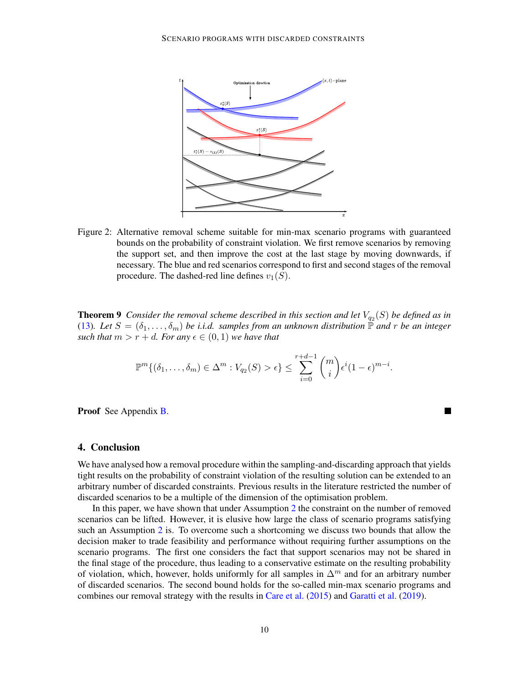

<span id="page-9-1"></span>Figure 2: Alternative removal scheme suitable for min-max scenario programs with guaranteed bounds on the probability of constraint violation. We first remove scenarios by removing the support set, and then improve the cost at the last stage by moving downwards, if necessary. The blue and red scenarios correspond to first and second stages of the removal procedure. The dashed-red line defines  $v_1(S)$ .

**Theorem 9** Consider the removal scheme described in this section and let  $V_{q_2}(S)$  be defined as in [\(13\)](#page-8-1). Let  $S = (\delta_1, \ldots, \delta_m)$  be i.i.d. samples from an unknown distribution  $\mathbb P$  and r be an integer *such that*  $m > r + d$ *. For any*  $\epsilon \in (0, 1)$  *we have that* 

$$
\mathbb{P}^m\{(\delta_1,\ldots,\delta_m)\in\Delta^m: V_{q_2}(S)>\epsilon\}\leq \sum_{i=0}^{r+d-1}\binom{m}{i}\epsilon^i(1-\epsilon)^{m-i}.
$$

 $\blacksquare$ 

Proof See Appendix **B**.

## <span id="page-9-0"></span>4. Conclusion

We have analysed how a removal procedure within the sampling-and-discarding approach that yields tight results on the probability of constraint violation of the resulting solution can be extended to an arbitrary number of discarded constraints. Previous results in the literature restricted the number of discarded scenarios to be a multiple of the dimension of the optimisation problem.

In this paper, we have shown that under Assumption [2](#page-3-2) the constraint on the number of removed scenarios can be lifted. However, it is elusive how large the class of scenario programs satisfying such an Assumption [2](#page-3-2) is. To overcome such a shortcoming we discuss two bounds that allow the decision maker to trade feasibility and performance without requiring further assumptions on the scenario programs. The first one considers the fact that support scenarios may not be shared in the final stage of the procedure, thus leading to a conservative estimate on the resulting probability of violation, which, however, holds uniformly for all samples in  $\Delta^m$  and for an arbitrary number of discarded scenarios. The second bound holds for the so-called min-max scenario programs and combines our removal strategy with the results in [Care et al.](#page-17-12) [\(2015\)](#page-17-12) and [Garatti et al.](#page-17-13) [\(2019\)](#page-17-13).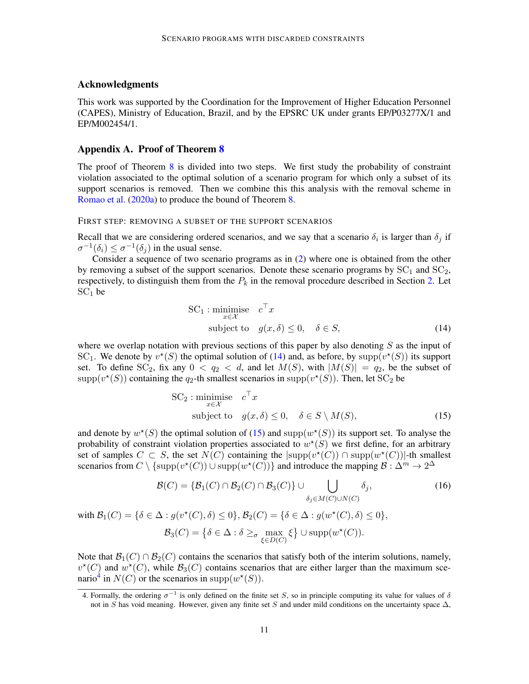## Acknowledgments

This work was supported by the Coordination for the Improvement of Higher Education Personnel (CAPES), Ministry of Education, Brazil, and by the EPSRC UK under grants EP/P03277X/1 and EP/M002454/1.

## <span id="page-10-0"></span>Appendix A. Proof of Theorem [8](#page-7-1)

The proof of Theorem [8](#page-7-1) is divided into two steps. We first study the probability of constraint violation associated to the optimal solution of a scenario program for which only a subset of its support scenarios is removed. Then we combine this this analysis with the removal scheme in [Romao et al.](#page-17-10) [\(2020a\)](#page-17-10) to produce the bound of Theorem [8.](#page-7-1)

#### FIRST STEP: REMOVING A SUBSET OF THE SUPPORT SCENARIOS

Recall that we are considering ordered scenarios, and we say that a scenario  $\delta_i$  is larger than  $\delta_j$  if  $\sigma^{-1}(\delta_i) \leq \sigma^{-1}(\delta_j)$  in the usual sense.

Consider a sequence of two scenario programs as in [\(2\)](#page-2-1) where one is obtained from the other by removing a subset of the support scenarios. Denote these scenario programs by  $SC<sub>1</sub>$  and  $SC<sub>2</sub>$ , respectively, to distinguish them from the  $P_k$  in the removal procedure described in Section [2.](#page-1-0) Let  $SC<sub>1</sub>$  be

<span id="page-10-1"></span>SC<sub>1</sub>: minimise 
$$
c^{\top}x
$$
  
subject to  $g(x, \delta) \le 0, \quad \delta \in S,$  (14)

where we overlap notation with previous sections of this paper by also denoting  $S$  as the input of SC<sub>1</sub>. We denote by  $v^*(S)$  the optimal solution of [\(14\)](#page-10-1) and, as before, by supp $(v^*(S))$  its support set. To define  $SC_2$ , fix any  $0 < q_2 < d$ , and let  $M(S)$ , with  $|M(S)| = q_2$ , be the subset of  $\text{supp}(v^*(S))$  containing the  $q_2$ -th smallest scenarios in  $\text{supp}(v^*(S))$ . Then, let  $SC_2$  be

<span id="page-10-4"></span><span id="page-10-2"></span>
$$
SC_2: \underset{x \in \mathcal{X}}{\text{minimise}} \quad c^\top x
$$
  
subject to  $g(x, \delta) \le 0, \quad \delta \in S \setminus M(S),$  (15)

and denote by  $w^*(S)$  the optimal solution of [\(15\)](#page-10-2) and supp $(w^*(S))$  its support set. To analyse the probability of constraint violation properties associated to  $w^*(S)$  we first define, for an arbitrary set of samples  $C \subset S$ , the set  $N(C)$  containing the  $|\text{supp}(v^*(C)) \cap \text{supp}(w^*(C))|$ -th smallest scenarios from  $C \setminus {\text{supp}(v^*(C)) \cup \text{supp}(w^*(C))}$  and introduce the mapping  $\mathcal{B}: \Delta^m \to 2^{\Delta}$ 

$$
\mathcal{B}(C) = \{ \mathcal{B}_1(C) \cap \mathcal{B}_2(C) \cap \mathcal{B}_3(C) \} \cup \bigcup_{\delta_j \in M(C) \cup N(C)} \delta_j,
$$
\n
$$
\text{with } \mathcal{B}_1(C) = \{ \delta \in \Delta : g(v^*(C), \delta) \le 0 \}, \mathcal{B}_2(C) = \{ \delta \in \Delta : g(w^*(C), \delta) \le 0 \},
$$
\n
$$
\mathcal{B}_3(C) = \{ \delta \in \Delta : \delta \ge \sigma \max_{\xi \in D(C)} \xi \} \cup \text{supp}(w^*(C)).
$$
\n
$$
(16)
$$

Note that  $\mathcal{B}_1(C) \cap \mathcal{B}_2(C)$  contains the scenarios that satisfy both of the interim solutions, namely,  $v^*(C)$  and  $w^*(C)$ , while  $\mathcal{B}_3(C)$  contains scenarios that are either larger than the maximum sce-nario<sup>[4](#page-10-3)</sup> in  $N(C)$  or the scenarios in supp $(w^*(S))$ .

<span id="page-10-3"></span><sup>4.</sup> Formally, the ordering  $\sigma^{-1}$  is only defined on the finite set S, so in principle computing its value for values of  $\delta$ not in S has void meaning. However, given any finite set S and under mild conditions on the uncertainty space  $\Delta$ ,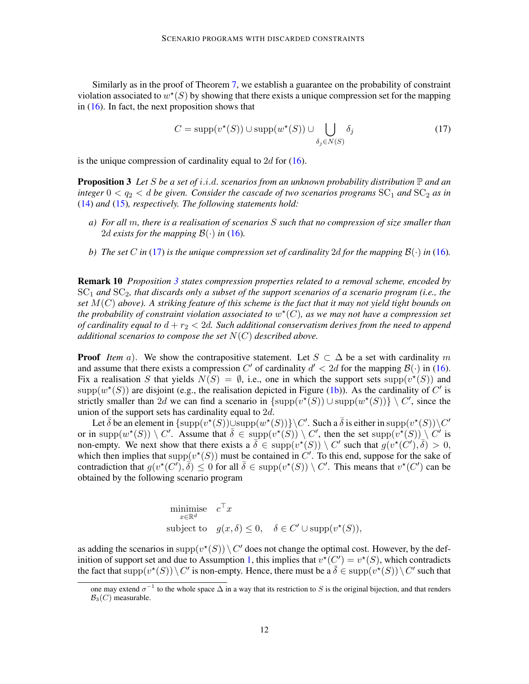Similarly as in the proof of Theorem [7,](#page-7-0) we establish a guarantee on the probability of constraint violation associated to  $w^*(S)$  by showing that there exists a unique compression set for the mapping in  $(16)$ . In fact, the next proposition shows that

<span id="page-11-0"></span>
$$
C = \text{supp}(v^*(S)) \cup \text{supp}(w^*(S)) \cup \bigcup_{\delta_j \in N(S)} \delta_j \tag{17}
$$

<span id="page-11-1"></span>is the unique compression of cardinality equal to  $2d$  for [\(16\)](#page-10-4).

Proposition 3 *Let* S *be a set of* i.i.d. *scenarios from an unknown probability distribution* P *and an integer*  $0 < q_2 < d$  *be given. Consider the cascade of two scenarios programs*  $SC_1$  *and*  $SC_2$  *as in* [\(14\)](#page-10-1) *and* [\(15\)](#page-10-2)*, respectively. The following statements hold:*

- *a) For all* m*, there is a realisation of scenarios* S *such that no compression of size smaller than* 2d exists for the mapping  $\mathcal{B}(\cdot)$  in [\(16\)](#page-10-4).
- *b*) *The set* C *in* [\(17\)](#page-11-0) *is the unique compression set of cardinality* 2d *for the mapping*  $B(\cdot)$  *in* [\(16\)](#page-10-4)*.*

Remark 10 *Proposition [3](#page-11-1) states compression properties related to a removal scheme, encoded by* SC<sup>1</sup> *and* SC2*, that discards only a subset of the support scenarios of a scenario program (i.e., the set* M(C) *above). A striking feature of this scheme is the fact that it may not yield tight bounds on* the probability of constraint violation associated to  $w^*(C)$ , as we may not have a compression set *of cardinality equal to*  $d + r_2 < 2d$ . Such additional conservatism derives from the need to append *additional scenarios to compose the set* N(C) *described above.*

**Proof** *Item* a). We show the contrapositive statement. Let  $S \subset \Delta$  be a set with cardinality m and assume that there exists a compression C' of cardinality  $d' < 2d$  for the mapping  $\mathcal{B}(\cdot)$  in [\(16\)](#page-10-4). Fix a realisation S that yields  $N(S) = \emptyset$ , i.e., one in which the support sets supp $(v^*(S))$  and supp $(w^*(S))$  are disjoint (e.g., the realisation depicted in Figure [\(1b\)](#page-5-2)). As the cardinality of C' is strictly smaller than 2d we can find a scenario in  $\{\text{supp}(v^*(S)) \cup \text{supp}(w^*(S))\} \setminus C'$ , since the union of the support sets has cardinality equal to  $2d$ .

Let  $\bar{\delta}$  be an element in  $\{ \text{supp}(v^*(S)) \cup \text{supp}(w^*(S)) \} \setminus C'$ . Such a  $\bar{\delta}$  is either in  $\text{supp}(v^*(S)) \setminus C'$ or in supp $(w^*(S)) \setminus C'$ . Assume that  $\overline{\delta} \in \text{supp}(v^*(S)) \setminus C'$ , then the set supp $(v^*(S)) \setminus C'$  is non-empty. We next show that there exists a  $\overline{\delta} \in \text{supp}(v^*(S)) \setminus C'$  such that  $g(v^*(C'), \overline{\delta}) > 0$ , which then implies that  $\text{supp}(v^*(S))$  must be contained in C'. To this end, suppose for the sake of contradiction that  $g(v^*(C'),\overline{\delta}) \leq 0$  for all  $\overline{\delta} \in \text{supp}(v^*(S)) \setminus C'$ . This means that  $v^*(C')$  can be obtained by the following scenario program

minimise 
$$
c^{\top}x
$$
  
\nsubject to  $g(x, \delta) \leq 0$ ,  $\delta \in C' \cup \text{supp}(v^*(S))$ ,

as adding the scenarios in supp $(v^*(S)) \setminus C'$  does not change the optimal cost. However, by the def-inition of support set and due to Assumption [1,](#page-2-3) this implies that  $v^*(C') = v^*(S)$ , which contradicts the fact that  $supp(v^*(S)) \setminus C'$  is non-empty. Hence, there must be a  $\overline{\delta} \in supp(v^*(S)) \setminus C'$  such that

one may extend  $\sigma^{-1}$  to the whole space  $\Delta$  in a way that its restriction to S is the original bijection, and that renders  $B_3(C)$  measurable.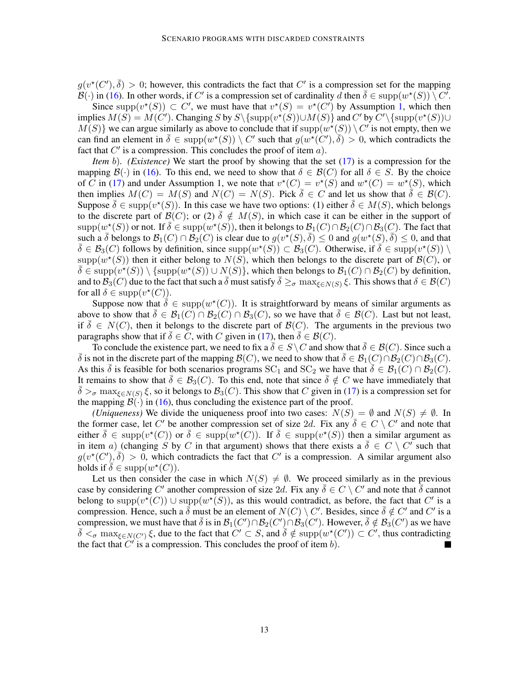$g(v^*(C'),\overline{\delta}) > 0$ ; however, this contradicts the fact that C' is a compression set for the mapping  $B(\cdot)$  in [\(16\)](#page-10-4). In other words, if C' is a compression set of cardinality d then  $\overline{\delta} \in \text{supp}(w^*(S)) \setminus C$ .

Since supp $(v^*(S)) \subset C'$ , we must have that  $v^*(S) = v^*(C')$  by Assumption [1,](#page-2-3) which then implies  $M(S) = M(C')$ . Changing S by  $S \setminus \{\text{supp}(v^*(S)) \cup M(S)\}\$  and C' by  $C' \setminus \{\text{supp}(v^*(S)) \cup M(S)\}$  $M(S)$ } we can argue similarly as above to conclude that if  $\text{supp}(w^*(S)) \setminus C'$  is not empty, then we can find an element in  $\overline{\delta} \in \text{supp}(w^*(S)) \setminus C'$  such that  $g(w^*(C'), \overline{\delta}) > 0$ , which contradicts the fact that  $C'$  is a compression. This concludes the proof of item  $a$ ).

*Item* b)*. (Existence)* We start the proof by showing that the set [\(17\)](#page-11-0) is a compression for the mapping  $\mathcal{B}(\cdot)$  in [\(16\)](#page-10-4). To this end, we need to show that  $\delta \in \mathcal{B}(C)$  for all  $\delta \in S$ . By the choice of C in [\(17\)](#page-11-0) and under Assumption 1, we note that  $v^*(C) = v^*(S)$  and  $w^*(C) = w^*(S)$ , which then implies  $M(C) = M(S)$  and  $N(C) = N(S)$ . Pick  $\overline{\delta} \in C$  and let us show that  $\overline{\delta} \in \mathcal{B}(C)$ . Suppose  $\bar{\delta} \in \text{supp}(v^*(S))$ . In this case we have two options: (1) either  $\bar{\delta} \in M(S)$ , which belongs to the discrete part of  $\mathcal{B}(C)$ ; or (2)  $\delta \notin M(S)$ , in which case it can be either in the support of  $\text{supp}(w^*(S))$  or not. If  $\overline{\delta} \in \text{supp}(w^*(S))$ , then it belongs to  $\mathcal{B}_1(C) \cap \mathcal{B}_2(C) \cap \mathcal{B}_3(C)$ . The fact that such a  $\bar{\delta}$  belongs to  $\mathcal{B}_1(C) \cap \overline{\mathcal{B}_2(C)}$  is clear due to  $g(v^*(S), \bar{\delta}) \leq 0$  and  $g(w^*(S), \bar{\delta}) \leq 0$ , and that  $\overline{\delta} \in \mathcal{B}_3(C)$  follows by definition, since  $\text{supp}(w^*(S)) \subset \mathcal{B}_3(C)$ . Otherwise, if  $\overline{\delta} \in \text{supp}(v^*(S)) \setminus \overline{\delta}$  $\text{supp}(w^*(S))$  then it either belong to  $N(S)$ , which then belongs to the discrete part of  $\mathcal{B}(C)$ , or  $\overline{\delta} \in \text{supp}(v^*(S)) \setminus \{\text{supp}(w^*(S)) \cup N(S)\},\$  which then belongs to  $\mathcal{B}_1(C) \cap \mathcal{B}_2(C)$  by definition, and to  $\mathcal{B}_3(C)$  due to the fact that such a  $\bar{\delta}$  must satisfy  $\bar{\delta} \geq_{\sigma} \max_{f \in N(S)} \xi$ . This shows that  $\delta \in \mathcal{B}(C)$ for all  $\delta \in \text{supp}(v^*(C)).$ 

Suppose now that  $\hat{\delta} \in \text{supp}(w^*(C))$ . It is straightforward by means of similar arguments as above to show that  $\overline{\delta} \in \mathcal{B}_1(C) \cap \mathcal{B}_2(C) \cap \mathcal{B}_3(C)$ , so we have that  $\delta \in \mathcal{B}(C)$ . Last but not least, if  $\overline{\delta} \in N(C)$ , then it belongs to the discrete part of  $\mathcal{B}(C)$ . The arguments in the previous two paragraphs show that if  $\overline{\delta} \in C$ , with C given in [\(17\)](#page-11-0), then  $\overline{\delta} \in \mathcal{B}(C)$ .

To conclude the existence part, we need to fix a  $\bar{\delta} \in S \setminus C$  and show that  $\bar{\delta} \in \mathcal{B}(C)$ . Since such a δ is not in the discrete part of the mapping  $\mathcal{B}(C)$ , we need to show that  $\delta \in \mathcal{B}_1(C) \cap \mathcal{B}_2(C) \cap \mathcal{B}_3(C)$ . As this  $\delta$  is feasible for both scenarios programs SC<sub>1</sub> and SC<sub>2</sub> we have that  $\delta \in \mathcal{B}_1(C) \cap \mathcal{B}_2(C)$ . It remains to show that  $\bar{\delta} \in \mathcal{B}_{3}(C)$ . To this end, note that since  $\bar{\delta} \notin C$  we have immediately that  $\bar{\delta} >_{\sigma}$  max<sub> $\xi \in N(S)$ </sub>  $\xi$ , so it belongs to  $\mathcal{B}_3(C)$ . This show that C given in [\(17\)](#page-11-0) is a compression set for the mapping  $\mathcal{B}(\cdot)$  in [\(16\)](#page-10-4), thus concluding the existence part of the proof.

*(Uniqueness)* We divide the uniqueness proof into two cases:  $N(S) = \emptyset$  and  $N(S) \neq \emptyset$ . In the former case, let C' be another compression set of size 2d. Fix any  $\overline{\delta} \in C \setminus C'$  and note that either  $\bar{\delta} \in \text{supp}(v^*(C))$  or  $\bar{\delta} \in \text{supp}(w^*(C))$ . If  $\bar{\delta} \in \text{supp}(v^*(S))$  then a similar argument as in item a) (changing S by C in that argument) shows that there exists a  $\overline{\delta} \in C \setminus C'$  such that  $g(v^*(C'),\overline{\delta}) > 0$ , which contradicts the fact that C' is a compression. A similar argument also holds if  $\overline{\delta} \in \text{supp}(w^*(C)).$ 

Let us then consider the case in which  $N(S) \neq \emptyset$ . We proceed similarly as in the previous case by considering C' another compression of size 2d. Fix any  $\bar{\delta} \in C \setminus C'$  and note that  $\bar{\delta}$  cannot belong to  $\text{supp}(v^*(C)) \cup \text{supp}(w^*(S))$ , as this would contradict, as before, the fact that C' is a compression. Hence, such a  $\bar{\delta}$  must be an element of  $N(C) \setminus C'$ . Besides, since  $\bar{\delta} \notin C'$  and  $C'$  is a compression, we must have that  $\bar{\delta}$  is in  $\mathcal{B}_1(C') \cap \mathcal{B}_2(C') \cap \mathcal{B}_3(C')$ . However,  $\bar{\delta} \notin \mathcal{B}_3(C')$  as we have  $\bar{\delta} <_{\sigma} \max_{\xi \in N(C')} \xi$ , due to the fact that  $C' \subset S$ , and  $\bar{\delta} \notin \text{supp}(w^*(C')) \subset C'$ , thus contradicting the fact that  $C'$  is a compression. This concludes the proof of item b).  $\blacksquare$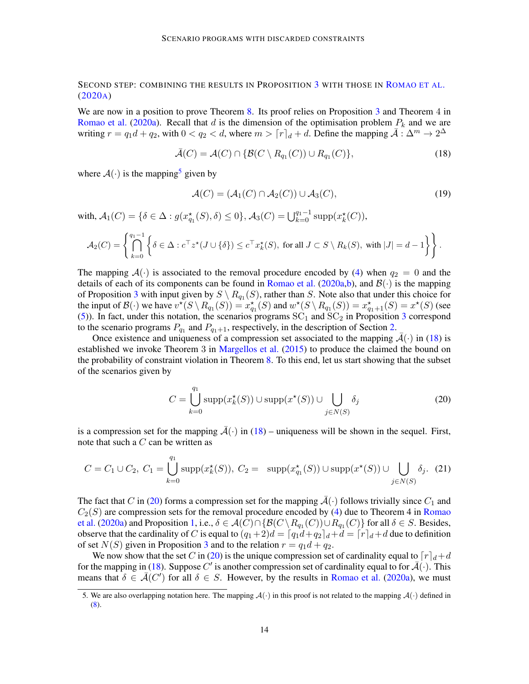## SECOND STEP: COMBINING THE RESULTS IN PROPOSITION [3](#page-11-1) WITH THOSE IN R[OMAO ET AL](#page-17-10). [\(2020](#page-17-10)A)

We are now in a position to prove Theorem [8.](#page-7-1) Its proof relies on Proposition [3](#page-11-1) and Theorem 4 in [Romao et al.](#page-17-10) [\(2020a\)](#page-17-10). Recall that d is the dimension of the optimisation problem  $P_k$  and we are writing  $r = q_1 d + q_2$ , with  $0 < q_2 < d$ , where  $m > \lceil r \rceil_d + d$ . Define the mapping  $\overline{A}: \Delta^m \to 2^{\Delta}$ 

<span id="page-13-1"></span>
$$
\bar{\mathcal{A}}(C) = \mathcal{A}(C) \cap \{ \mathcal{B}(C \setminus R_{q_1}(C)) \cup R_{q_1}(C) \},\tag{18}
$$

where  $A(\cdot)$  is the mapping<sup>[5](#page-13-0)</sup> given by

<span id="page-13-3"></span>
$$
\mathcal{A}(C) = (\mathcal{A}_1(C) \cap \mathcal{A}_2(C)) \cup \mathcal{A}_3(C),\tag{19}
$$

with,  $A_1(C) = \{ \delta \in \Delta : g(x_{q_1}^*(S), \delta) \le 0 \}, A_3(C) = \bigcup_{k=0}^{q_1-1} \text{supp} (x_k^*(C)),$ 

$$
\mathcal{A}_2(C) = \left\{ \bigcap_{k=0}^{q_1-1} \left\{ \delta \in \Delta : c^\top z^\star (J \cup \{\delta\}) \leq c^\top x_k^\star(S), \text{ for all } J \subset S \setminus R_k(S), \text{ with } |J| = d-1 \right\} \right\}.
$$

The mapping  $\mathcal{A}(\cdot)$  is associated to the removal procedure encoded by [\(4\)](#page-3-0) when  $q_2 = 0$  and the details of each of its components can be found in [Romao et al.](#page-17-10) [\(2020a](#page-17-10)[,b\)](#page-17-11), and  $\mathcal{B}(\cdot)$  is the mapping of Proposition [3](#page-11-1) with input given by  $S \setminus R_{q_1}(S)$ , rather than S. Note also that under this choice for the input of  $\mathcal{B}(\cdot)$  we have  $v^*(S \setminus R_{q_1}(S)) = x_{q_1}^*(S)$  and  $w^*(S \setminus R_{q_1}(S)) = x_{q_1+1}^*(S) = x^*(S)$  (see [\(5\)](#page-3-3)). In fact, under this notation, the scenarios programs  $SC_1$  and  $SC_2$  in Proposition [3](#page-11-1) correspond to the scenario programs  $P_{q_1}$  and  $P_{q_1+1}$ , respectively, in the description of Section [2.](#page-1-0)

Once existence and uniqueness of a compression set associated to the mapping  $\bar{\mathcal{A}}(\cdot)$  in [\(18\)](#page-13-1) is established we invoke Theorem 3 in [Margellos et al.](#page-17-17) [\(2015\)](#page-17-17) to produce the claimed the bound on the probability of constraint violation in Theorem [8.](#page-7-1) To this end, let us start showing that the subset of the scenarios given by

<span id="page-13-2"></span>
$$
C = \bigcup_{k=0}^{q_1} \text{supp}(x_k^{\star}(S)) \cup \text{supp}(x^{\star}(S)) \cup \bigcup_{j \in N(S)} \delta_j
$$
 (20)

is a compression set for the mapping  $\bar{\mathcal{A}}(\cdot)$  in [\(18\)](#page-13-1) – uniqueness will be shown in the sequel. First, note that such a  $C$  can be written as

$$
C = C_1 \cup C_2, \ C_1 = \bigcup_{k=0}^{q_1} \text{supp}(x_k^*(S)), \ C_2 = \text{supp}(x_{q_1}^*(S)) \cup \text{supp}(x^*(S)) \cup \bigcup_{j \in N(S)} \delta_j. \tag{21}
$$

The fact that C in [\(20\)](#page-13-2) forms a compression set for the mapping  $\bar{\mathcal{A}}(\cdot)$  follows trivially since  $C_1$  and  $C_2(S)$  are compression sets for the removal procedure encoded by [\(4\)](#page-3-0) due to Theorem 4 in [Romao](#page-17-10) [et al.](#page-17-10) [\(2020a\)](#page-17-10) and Proposition [1,](#page-4-2) i.e.,  $\delta \in \mathcal{A}(C) \cap \{ \mathcal{B}(C \setminus R_{q_1}(C)) \cup R_{q_1}(C) \}$  for all  $\delta \in S$ . Besides, observe that the cardinality of C is equal to  $(q_1+2)d = \lfloor q_1d+q_2 \rfloor_d+d = \lfloor r \rfloor_d+d$  due to definition of set  $N(S)$  given in Proposition [3](#page-11-1) and to the relation  $r = q_1d + q_2$ .

We now show that the set C in [\(20\)](#page-13-2) is the unique compression set of cardinality equal to  $\lceil r \rceil_d+d$ for the mapping in [\(18\)](#page-13-1). Suppose C' is another compression set of cardinality equal to for  $\bar{A}(\cdot)$ . This means that  $\delta \in \overline{\mathcal{A}}(C')$  for all  $\delta \in S$ . However, by the results in [Romao et al.](#page-17-10) [\(2020a\)](#page-17-10), we must

<span id="page-13-0"></span><sup>5.</sup> We are also overlapping notation here. The mapping  $\mathcal{A}(\cdot)$  in this proof is not related to the mapping  $\mathcal{A}(\cdot)$  defined in [\(8\)](#page-6-1).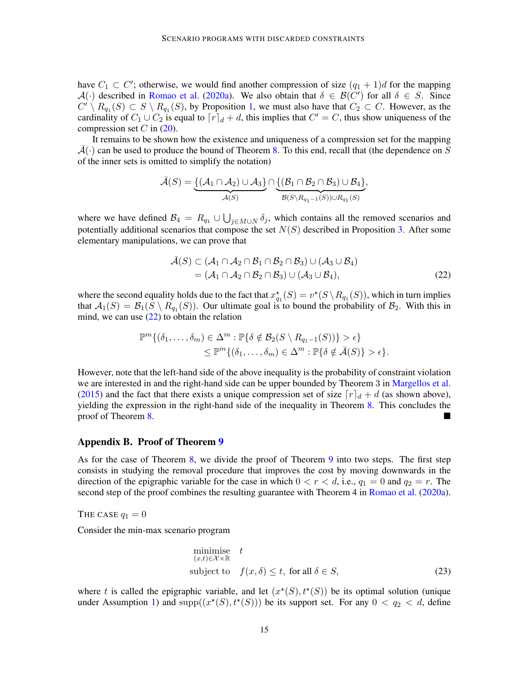have  $C_1 \subset C'$ ; otherwise, we would find another compression of size  $(q_1 + 1)d$  for the mapping  $\mathcal{A}(\cdot)$  described in [Romao et al.](#page-17-10) [\(2020a\)](#page-17-10). We also obtain that  $\delta \in \mathcal{B}(\tilde{C}')$  for all  $\delta \in S$ . Since  $C' \setminus R_{q_1}(S) \subset S \setminus R_{q_1}(S)$ , by Proposition [1,](#page-4-2) we must also have that  $C_2 \subset C$ . However, as the cardinality of  $C_1 \cup C_2$  is equal to  $\lceil r \rceil_d + d$ , this implies that  $C' = C$ , thus show uniqueness of the compression set  $C$  in  $(20)$ .

It remains to be shown how the existence and uniqueness of a compression set for the mapping  $\mathcal{A}(\cdot)$  can be used to produce the bound of Theorem [8.](#page-7-1) To this end, recall that (the dependence on S of the inner sets is omitted to simplify the notation)

$$
\bar{\mathcal{A}}(S) = \underbrace{\{(\mathcal{A}_1 \cap \mathcal{A}_2) \cup \mathcal{A}_3\}}_{\mathcal{A}(S)} \cap \underbrace{\{(\mathcal{B}_1 \cap \mathcal{B}_2 \cap \mathcal{B}_3) \cup \mathcal{B}_4\}}_{\mathcal{B}(S \setminus R_{q_1-1}(S)) \cup R_{q_1}(S)},
$$

where we have defined  $B_4 = R_{q_1} \cup \bigcup_{j \in M \cup N} \delta_j$ , which contains all the removed scenarios and potentially additional scenarios that compose the set  $N(S)$  described in Proposition [3.](#page-11-1) After some elementary manipulations, we can prove that

<span id="page-14-1"></span>
$$
\bar{\mathcal{A}}(S) \subset (\mathcal{A}_1 \cap \mathcal{A}_2 \cap \mathcal{B}_1 \cap \mathcal{B}_2 \cap \mathcal{B}_3) \cup (\mathcal{A}_3 \cup \mathcal{B}_4)
$$
  
= 
$$
(\mathcal{A}_1 \cap \mathcal{A}_2 \cap \mathcal{B}_2 \cap \mathcal{B}_3) \cup (\mathcal{A}_3 \cup \mathcal{B}_4),
$$
 (22)

where the second equality holds due to the fact that  $x_{q_1}^*(S) = v^*(S \setminus R_{q_1}(S))$ , which in turn implies that  $A_1(S) = B_1(S \setminus R_{q_1}(S))$ . Our ultimate goal is to bound the probability of  $B_2$ . With this in mind, we can use  $(22)$  to obtain the relation

$$
\mathbb{P}^m\{(\delta_1,\ldots,\delta_m)\in\Delta^m:\mathbb{P}\{\delta\notin\mathcal{B}_2(S\setminus R_{q_1-1}(S))\}>\epsilon\}
$$
  

$$
\leq \mathbb{P}^m\{(\delta_1,\ldots,\delta_m)\in\Delta^m:\mathbb{P}\{\delta\notin\bar{\mathcal{A}}(S)\}>\epsilon\}.
$$

However, note that the left-hand side of the above inequality is the probability of constraint violation we are interested in and the right-hand side can be upper bounded by Theorem 3 in [Margellos et al.](#page-17-17) [\(2015\)](#page-17-17) and the fact that there exists a unique compression set of size  $\lceil r \rceil_d + d$  (as shown above), yielding the expression in the right-hand side of the inequality in Theorem [8.](#page-7-1) This concludes the proof of Theorem [8.](#page-7-1)

## <span id="page-14-0"></span>Appendix B. Proof of Theorem [9](#page-8-2)

As for the case of Theorem [8,](#page-7-1) we divide the proof of Theorem [9](#page-8-2) into two steps. The first step consists in studying the removal procedure that improves the cost by moving downwards in the direction of the epigraphic variable for the case in which  $0 < r < d$ , i.e.,  $q_1 = 0$  and  $q_2 = r$ . The second step of the proof combines the resulting guarantee with Theorem 4 in [Romao et al.](#page-17-10) [\(2020a\)](#page-17-10).

THE CASE  $q_1 = 0$ 

Consider the min-max scenario program

<span id="page-14-2"></span>minimise 
$$
t
$$
  
\n $(x,t)\in\mathcal{X}\times\mathbb{R}$   
\nsubject to  $f(x,\delta) \le t$ , for all  $\delta \in S$ , (23)

where t is called the epigraphic variable, and let  $(x^*(S), t^*(S))$  be its optimal solution (unique under Assumption [1\)](#page-2-3) and  $supp((x^*(S), t^*(S)))$  be its support set. For any  $0 < q_2 < d$ , define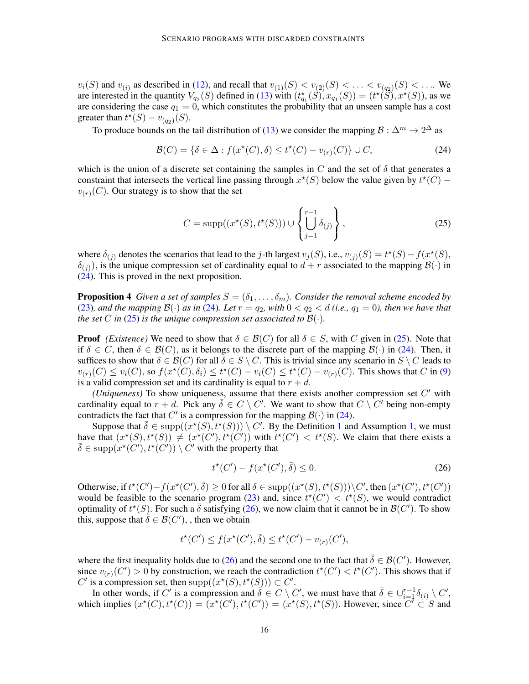$v_i(S)$  and  $v_{(i)}$  as described in [\(12\)](#page-8-3), and recall that  $v_{(1)}(S) < v_{(2)}(S) < \ldots < v_{(q_2)}(S) < \ldots$ . We are interested in the quantity  $V_{q_2}(S)$  defined in [\(13\)](#page-8-1) with  $(t_{q_1}^{\star}(S), x_{q_1}(S)) = (t^{\star}(S), x^{\star}(S))$ , as we are considering the case  $q_1 = 0$ , which constitutes the probability that an unseen sample has a cost greater than  $t^*(S) - v_{(q_2)}(S)$ .

To produce bounds on the tail distribution of [\(13\)](#page-8-1) we consider the mapping  $\mathcal{B}: \Delta^m \to 2^{\Delta}$  as

<span id="page-15-0"></span>
$$
\mathcal{B}(C) = \{ \delta \in \Delta : f(x^*(C), \delta) \le t^*(C) - v_{(r)}(C) \} \cup C,
$$
\n(24)

which is the union of a discrete set containing the samples in C and the set of  $\delta$  that generates a constraint that intersects the vertical line passing through  $x^*(S)$  below the value given by  $t^*(C)$  –  $v_{(r)}(C)$ . Our strategy is to show that the set

<span id="page-15-1"></span>
$$
C = \text{supp}((x^*(S), t^*(S))) \cup \left\{ \bigcup_{j=1}^{r-1} \delta_{(j)} \right\},\tag{25}
$$

where  $\delta_{(j)}$  denotes the scenarios that lead to the j-th largest  $v_j(S)$ , i.e.,  $v_{(j)}(S) = t^*(S) - f(x^*(S))$ ,  $\delta_{(j)}$ ), is the unique compression set of cardinality equal to  $d + r$  associated to the mapping  $\mathcal{B}(\cdot)$  in  $(24)$ . This is proved in the next proposition.

<span id="page-15-3"></span>**Proposition 4** *Given a set of samples*  $S = (\delta_1, \ldots, \delta_m)$ *. Consider the removal scheme encoded by* [\(23\)](#page-14-2), and the mapping  $\mathcal{B}(\cdot)$  as in [\(24\)](#page-15-0). Let  $r = q_2$ , with  $0 < q_2 < d$  (i.e.,  $q_1 = 0$ ), then we have that *the set* C *in* [\(25\)](#page-15-1) *is the unique compression set associated to*  $B(\cdot)$ *.* 

**Proof** *(Existence)* We need to show that  $\delta \in \mathcal{B}(C)$  for all  $\delta \in S$ , with C given in [\(25\)](#page-15-1). Note that if  $\delta \in C$ , then  $\delta \in \mathcal{B}(C)$ , as it belongs to the discrete part of the mapping  $\mathcal{B}(\cdot)$  in [\(24\)](#page-15-0). Then, it suffices to show that  $\delta \in \mathcal{B}(C)$  for all  $\delta \in S \setminus C$ . This is trivial since any scenario in  $S \setminus C$  leads to  $v_{(r)}(C) \leq v_i(C)$ , so  $f(x^*(C), \delta_i) \leq t^*(C) - v_i(C) \leq t^*(C) - v_{(r)}(C)$ . This shows that C in [\(9\)](#page-6-0) is a valid compression set and its cardinality is equal to  $r + d$ .

(*Uniqueness*) To show uniqueness, assume that there exists another compression set  $C'$  with cardinality equal to  $r + d$ . Pick any  $\overline{\delta} \in C \setminus C'$ . We want to show that  $C \setminus C'$  being non-empty contradicts the fact that C' is a compression for the mapping  $\mathcal{B}(\cdot)$  in [\(24\)](#page-15-0).

Suppose that  $\bar{\delta} \in \text{supp}((x^*(S), t^*(S))) \setminus C'$ . By the Definition [1](#page-2-4) and Assumption [1,](#page-2-3) we must have that  $(x^*(S), t^*(S)) \neq (x^*(C'), t^*(C'))$  with  $t^*(C') < t^*(S)$ . We claim that there exists a  $\bar{\delta} \in \text{supp}(\dot{x}^{\star}(\dot{C}'))$ ,  $t^{\star}(\dot{C}')) \setminus \dot{C}'$  with the property that

<span id="page-15-2"></span>
$$
t^{\star}(C') - f(x^{\star}(C'), \bar{\delta}) \le 0. \tag{26}
$$

Otherwise, if  $t^*(C') - f(x^*(C'), \overline{\delta}) \ge 0$  for all  $\delta \in \text{supp}((x^*(S), t^*(S))) \setminus C'$ , then  $(x^*(C'), t^*(C'))$ would be feasible to the scenario program [\(23\)](#page-14-2) and, since  $t^*(C') < t^*(S)$ , we would contradict optimality of  $t^*(S)$ . For such a  $\bar{\delta}$  satisfying [\(26\)](#page-15-2), we now claim that it cannot be in  $\mathcal{B}(C')$ . To show this, suppose that  $\bar{\delta} \in \mathcal{B}(C')$ , then we obtain

$$
t^{\star}(C') \le f(x^{\star}(C'), \overline{\delta}) \le t^{\star}(C') - v_{(r)}(C'),
$$

where the first inequality holds due to [\(26\)](#page-15-2) and the second one to the fact that  $\bar{\delta} \in \mathcal{B}(C')$ . However, since  $v_{(r)}(C') > 0$  by construction, we reach the contradiction  $t^*(C') < t^*(C')$ . This shows that if C' is a compression set, then  $supp((x^*(S), t^*(S))) \subset C'$ .

In other words, if C' is a compression and  $\overline{\delta} \in C \setminus C'$ , we must have that  $\overline{\delta} \in \bigcup_{i=1}^{r-1} \delta_{(i)} \setminus C'$ , which implies  $(x^*(C), t^*(C)) = (x^*(C'), t^*(C')) = (x^*(S), t^*(S))$ . However, since  $\overline{C'} \subset S$  and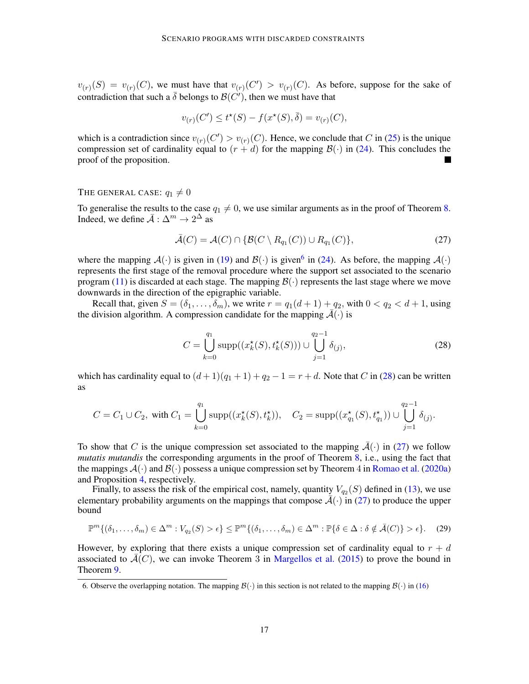$v_{(r)}(S) = v_{(r)}(C)$ , we must have that  $v_{(r)}(C') > v_{(r)}(C)$ . As before, suppose for the sake of contradiction that such a  $\bar{\delta}$  belongs to  $\mathcal{B}(C')$ , then we must have that

$$
v_{(r)}(C') \le t^*(S) - f(x^*(S), \bar{\delta}) = v_{(r)}(C),
$$

which is a contradiction since  $v_{(r)}(C') > v_{(r)}(C)$ . Hence, we conclude that C in [\(25\)](#page-15-1) is the unique compression set of cardinality equal to  $(r + d)$  for the mapping  $\mathcal{B}(\cdot)$  in [\(24\)](#page-15-0). This concludes the proof of the proposition. 

## THE GENERAL CASE:  $q_1 \neq 0$

To generalise the results to the case  $q_1 \neq 0$ , we use similar arguments as in the proof of Theorem [8.](#page-7-1) Indeed, we define  $\bar{\mathcal{A}}$  :  $\Delta^m \to 2^\Delta$  as

<span id="page-16-2"></span>
$$
\bar{\mathcal{A}}(C) = \mathcal{A}(C) \cap \{ \mathcal{B}(C \setminus R_{q_1}(C)) \cup R_{q_1}(C) \},\tag{27}
$$

where the mapping  $A(\cdot)$  is given in [\(19\)](#page-13-3) and  $B(\cdot)$  is given<sup>[6](#page-16-0)</sup> in [\(24\)](#page-15-0). As before, the mapping  $A(\cdot)$ represents the first stage of the removal procedure where the support set associated to the scenario program [\(11\)](#page-8-0) is discarded at each stage. The mapping  $\mathcal{B}(\cdot)$  represents the last stage where we move downwards in the direction of the epigraphic variable.

Recall that, given  $S = (\delta_1, \ldots, \delta_m)$ , we write  $r = q_1(d+1) + q_2$ , with  $0 < q_2 < d+1$ , using the division algorithm. A compression candidate for the mapping  $\mathcal{A}(\cdot)$  is

<span id="page-16-1"></span>
$$
C = \bigcup_{k=0}^{q_1} \text{supp}((x_k^{\star}(S), t_k^{\star}(S))) \cup \bigcup_{j=1}^{q_2 - 1} \delta_{(j)},
$$
 (28)

which has cardinality equal to  $(d+1)(q_1+1) + q_2 - 1 = r + d$ . Note that C in [\(28\)](#page-16-1) can be written as

$$
C = C_1 \cup C_2, \text{ with } C_1 = \bigcup_{k=0}^{q_1} \text{supp}((x_k^{\star}(S), t_k^{\star})), \quad C_2 = \text{supp}((x_{q_1}^{\star}(S), t_{q_1}^{\star})) \cup \bigcup_{j=1}^{q_2-1} \delta_{(j)}.
$$

To show that C is the unique compression set associated to the mapping  $\overline{A}(\cdot)$  in [\(27\)](#page-16-2) we follow *mutatis mutandis* the corresponding arguments in the proof of Theorem [8,](#page-7-1) i.e., using the fact that the mappings  $A(\cdot)$  and  $B(\cdot)$  possess a unique compression set by Theorem 4 in [Romao et al.](#page-17-10) [\(2020a\)](#page-17-10) and Proposition [4,](#page-15-3) respectively.

Finally, to assess the risk of the empirical cost, namely, quantity  $V_{q_2}(S)$  defined in [\(13\)](#page-8-1), we use elementary probability arguments on the mappings that compose  $\bar{A}(\cdot)$  in [\(27\)](#page-16-2) to produce the upper bound

$$
\mathbb{P}^m\{(\delta_1,\ldots,\delta_m)\in\Delta^m:V_{q_2}(S)>\epsilon\}\leq\mathbb{P}^m\{(\delta_1,\ldots,\delta_m)\in\Delta^m:\mathbb{P}\{\delta\in\Delta:\delta\notin\bar{\mathcal{A}}(C)\}>\epsilon\}.\tag{29}
$$

However, by exploring that there exists a unique compression set of cardinality equal to  $r + d$ associated to  $\mathcal{A}(C)$ , we can invoke Theorem 3 in [Margellos et al.](#page-17-17) [\(2015\)](#page-17-17) to prove the bound in Theorem [9.](#page-8-2)

<span id="page-16-0"></span><sup>6.</sup> Observe the overlapping notation. The mapping  $\mathcal{B}(\cdot)$  in this section is not related to the mapping  $\mathcal{B}(\cdot)$  in [\(16\)](#page-10-4)